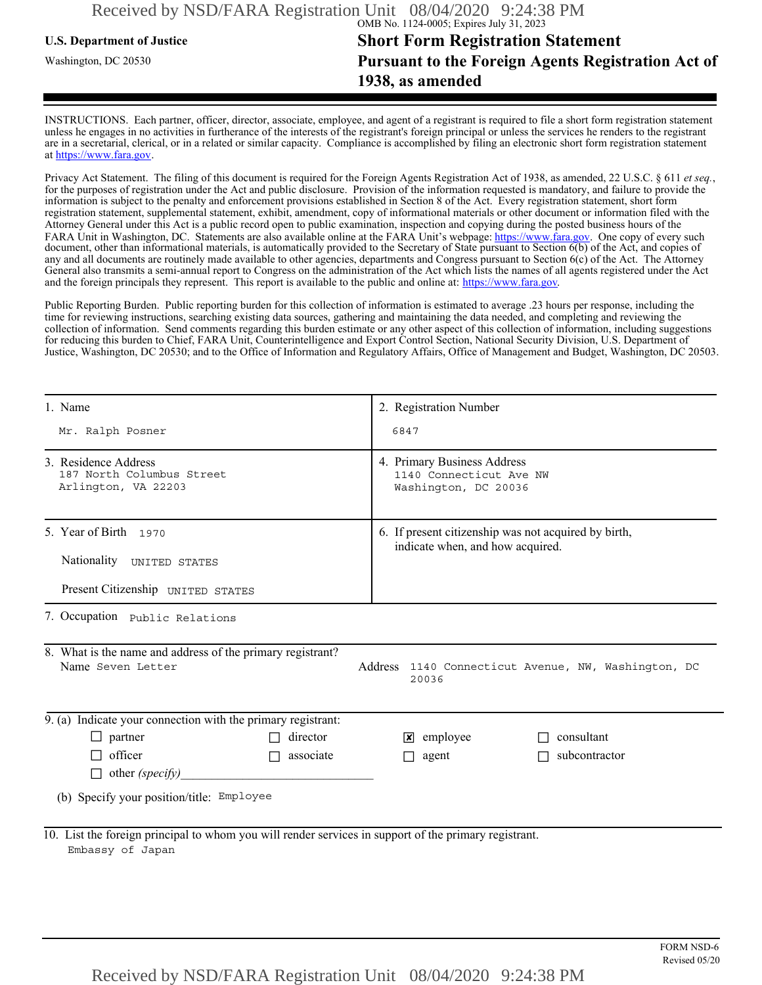## **U.S. Department of Justice Short Form Registration Statement** Washington, DC 20530 **Pursuant to the Foreign Agents Registration Act of 1938, as amended**

INSTRUCTIONS. Each partner, officer, director, associate, employee, and agent of a registrant is required to file a short form registration statement unless he engages in no activities in furtherance of the interests of the registrant's foreign principal or unless the services he renders to the registrant are in a secretarial, clerical, or in a related or similar capacity. Compliance is accomplished by filing an electronic short form registration statement at https://www.fara.gov.

Privacy Act Statement. The filing of this document is required for the Foreign Agents Registration Act of 1938, as amended, 22 U.S.C. § 611 *et seq.*, for the purposes of registration under the Act and public disclosure. Provision of the information requested is mandatory, and failure to provide the information is subject to the penalty and enforcement provisions established in Section 8 of the Act. Every registration statement, short form registration statement, supplemental statement, exhibit, amendment, copy of informational materials or other document or information filed with the Attorney General under this Act is a public record open to public examination, inspection and copying during the posted business hours of the FARA Unit in Washington, DC. Statements are also available online at the FARA Unit's webpage: https://www.fara.gov. One copy of every such document, other than informational materials, is automatically provided to the Secretary of State pursuant to Section 6(b) of the Act, and copies of any and all documents are routinely made available to other agencies, departments and Congress pursuant to Section 6(c) of the Act. The Attorney General also transmits a semi-annual report to Congress on the administration of the Act which lists the names of all agents registered under the Act and the foreign principals they represent. This report is available to the public and online at: https://www.fara.gov.

Public Reporting Burden. Public reporting burden for this collection of information is estimated to average .23 hours per response, including the time for reviewing instructions, searching existing data sources, gathering and maintaining the data needed, and completing and reviewing the collection of information. Send comments regarding this burden estimate or any other aspect of this collection of information, including suggestions for reducing this burden to Chief, FARA Unit, Counterintelligence and Export Control Section, National Security Division, U.S. Department of Justice, Washington, DC 20530; and to the Office of Information and Regulatory Affairs, Office of Management and Budget, Washington, DC 20503.

| 1. Name                                                                                                                                         | 2. Registration Number                                                                   |  |  |  |  |
|-------------------------------------------------------------------------------------------------------------------------------------------------|------------------------------------------------------------------------------------------|--|--|--|--|
| Mr. Ralph Posner                                                                                                                                | 6847                                                                                     |  |  |  |  |
| 3. Residence Address<br>187 North Columbus Street<br>Arlington, VA 22203                                                                        | 4. Primary Business Address<br>1140 Connecticut Ave NW<br>Washington, DC 20036           |  |  |  |  |
| 5. Year of Birth 1970<br>Nationality UNITED STATES                                                                                              | 6. If present citizenship was not acquired by birth,<br>indicate when, and how acquired. |  |  |  |  |
| Present Citizenship UNITED STATES                                                                                                               |                                                                                          |  |  |  |  |
| 7. Occupation Public Relations                                                                                                                  |                                                                                          |  |  |  |  |
| 8. What is the name and address of the primary registrant?<br>Name Seven Letter<br>Address 1140 Connecticut Avenue, NW, Washington, DC<br>20036 |                                                                                          |  |  |  |  |
| 9. (a) Indicate your connection with the primary registrant:                                                                                    |                                                                                          |  |  |  |  |
| $\Box$ partner<br>director                                                                                                                      | $\mathbf{x}$ employee<br>consultant                                                      |  |  |  |  |
| $\Box$ officer<br>associate<br>$\Box$                                                                                                           | subcontractor<br>$\Box$ agent                                                            |  |  |  |  |
| $\Box$ other (specify)                                                                                                                          |                                                                                          |  |  |  |  |
| (b) Specify your position/title: Employee                                                                                                       |                                                                                          |  |  |  |  |
| 10. List the foreign principal to whom you will render services in support of the primary registrant.<br>Embassy of Japan                       |                                                                                          |  |  |  |  |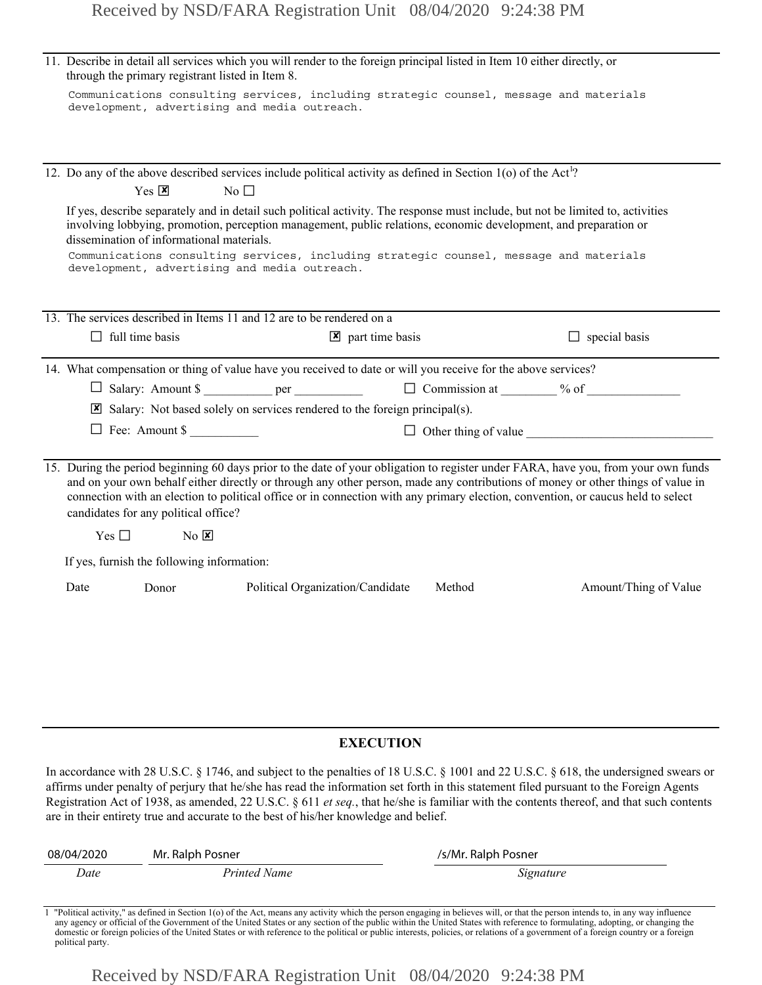|                  | 11. Describe in detail all services which you will render to the foreign principal listed in Item 10 either directly, or<br>through the primary registrant listed in Item 8.                                                                                                                                                                                                                                                                      |                                           |                                                                                                                                                                                                                                                                                                                                                                                                                                                                                                                    |                     |                       |
|------------------|---------------------------------------------------------------------------------------------------------------------------------------------------------------------------------------------------------------------------------------------------------------------------------------------------------------------------------------------------------------------------------------------------------------------------------------------------|-------------------------------------------|--------------------------------------------------------------------------------------------------------------------------------------------------------------------------------------------------------------------------------------------------------------------------------------------------------------------------------------------------------------------------------------------------------------------------------------------------------------------------------------------------------------------|---------------------|-----------------------|
|                  |                                                                                                                                                                                                                                                                                                                                                                                                                                                   |                                           | Communications consulting services, including strategic counsel, message and materials<br>development, advertising and media outreach.                                                                                                                                                                                                                                                                                                                                                                             |                     |                       |
|                  |                                                                                                                                                                                                                                                                                                                                                                                                                                                   |                                           |                                                                                                                                                                                                                                                                                                                                                                                                                                                                                                                    |                     |                       |
|                  | 12. Do any of the above described services include political activity as defined in Section 1(o) of the Act <sup>1</sup> ?<br>$Yes \n  X$<br>$No$ $\square$                                                                                                                                                                                                                                                                                       |                                           |                                                                                                                                                                                                                                                                                                                                                                                                                                                                                                                    |                     |                       |
|                  |                                                                                                                                                                                                                                                                                                                                                                                                                                                   | dissemination of informational materials. | If yes, describe separately and in detail such political activity. The response must include, but not be limited to, activities<br>involving lobbying, promotion, perception management, public relations, economic development, and preparation or<br>Communications consulting services, including strategic counsel, message and materials<br>development, advertising and media outreach.                                                                                                                      |                     |                       |
|                  |                                                                                                                                                                                                                                                                                                                                                                                                                                                   |                                           | 13. The services described in Items 11 and 12 are to be rendered on a                                                                                                                                                                                                                                                                                                                                                                                                                                              |                     |                       |
|                  | $\Box$ full time basis                                                                                                                                                                                                                                                                                                                                                                                                                            |                                           | $\boxed{\mathbf{x}}$ part time basis                                                                                                                                                                                                                                                                                                                                                                                                                                                                               |                     | $\Box$ special basis  |
|                  |                                                                                                                                                                                                                                                                                                                                                                                                                                                   |                                           | 14. What compensation or thing of value have you received to date or will you receive for the above services?                                                                                                                                                                                                                                                                                                                                                                                                      |                     |                       |
|                  |                                                                                                                                                                                                                                                                                                                                                                                                                                                   |                                           | □ Salary: Amount \$ ___________ per __________________ □ Commission at ________ % of _______________                                                                                                                                                                                                                                                                                                                                                                                                               |                     |                       |
|                  |                                                                                                                                                                                                                                                                                                                                                                                                                                                   |                                           | $\boxtimes$ Salary: Not based solely on services rendered to the foreign principal(s).                                                                                                                                                                                                                                                                                                                                                                                                                             |                     |                       |
|                  | $\Box$ Fee: Amount \$                                                                                                                                                                                                                                                                                                                                                                                                                             |                                           |                                                                                                                                                                                                                                                                                                                                                                                                                                                                                                                    |                     |                       |
|                  | 15. During the period beginning 60 days prior to the date of your obligation to register under FARA, have you, from your own funds<br>and on your own behalf either directly or through any other person, made any contributions of money or other things of value in<br>connection with an election to political office or in connection with any primary election, convention, or caucus held to select<br>candidates for any political office? |                                           |                                                                                                                                                                                                                                                                                                                                                                                                                                                                                                                    |                     |                       |
|                  | $Yes \Box$                                                                                                                                                                                                                                                                                                                                                                                                                                        | $No$ $X$                                  |                                                                                                                                                                                                                                                                                                                                                                                                                                                                                                                    |                     |                       |
|                  | If yes, furnish the following information:                                                                                                                                                                                                                                                                                                                                                                                                        |                                           |                                                                                                                                                                                                                                                                                                                                                                                                                                                                                                                    |                     |                       |
|                  | Date                                                                                                                                                                                                                                                                                                                                                                                                                                              | Donor                                     | Political Organization/Candidate                                                                                                                                                                                                                                                                                                                                                                                                                                                                                   | Method              | Amount/Thing of Value |
|                  |                                                                                                                                                                                                                                                                                                                                                                                                                                                   |                                           |                                                                                                                                                                                                                                                                                                                                                                                                                                                                                                                    |                     |                       |
|                  |                                                                                                                                                                                                                                                                                                                                                                                                                                                   |                                           |                                                                                                                                                                                                                                                                                                                                                                                                                                                                                                                    |                     |                       |
|                  |                                                                                                                                                                                                                                                                                                                                                                                                                                                   |                                           |                                                                                                                                                                                                                                                                                                                                                                                                                                                                                                                    |                     |                       |
|                  |                                                                                                                                                                                                                                                                                                                                                                                                                                                   |                                           |                                                                                                                                                                                                                                                                                                                                                                                                                                                                                                                    |                     |                       |
| <b>EXECUTION</b> |                                                                                                                                                                                                                                                                                                                                                                                                                                                   |                                           |                                                                                                                                                                                                                                                                                                                                                                                                                                                                                                                    |                     |                       |
|                  |                                                                                                                                                                                                                                                                                                                                                                                                                                                   |                                           | In accordance with 28 U.S.C. § 1746, and subject to the penalties of 18 U.S.C. § 1001 and 22 U.S.C. § 618, the undersigned swears or<br>affirms under penalty of perjury that he/she has read the information set forth in this statement filed pursuant to the Foreign Agents<br>Registration Act of 1938, as amended, 22 U.S.C. § 611 et seq., that he/she is familiar with the contents thereof, and that such contents<br>are in their entirety true and accurate to the best of his/her knowledge and belief. |                     |                       |
|                  | 08/04/2020                                                                                                                                                                                                                                                                                                                                                                                                                                        | Mr. Ralph Posner                          |                                                                                                                                                                                                                                                                                                                                                                                                                                                                                                                    | /s/Mr. Ralph Posner |                       |

## **EXECUTION**

| 08/04/2020 | Mr. Ralph Posner | /s/Mr. Ralph Posner |  |
|------------|------------------|---------------------|--|
| Date       | Printed Name     | Signature           |  |

Political activity," as defined in Section 1(o) of the Act, means any activity which the person engaging in believes will, or that the person intends to, in any way influence any agency or official of the Government of the domestic or foreign policies of the United States or with reference to the political or public interests, policies, or relations of a government of a foreign country or a foreign political party.

Received by NSD/FARA Registration Unit 08/04/2020 9:24:38 PM